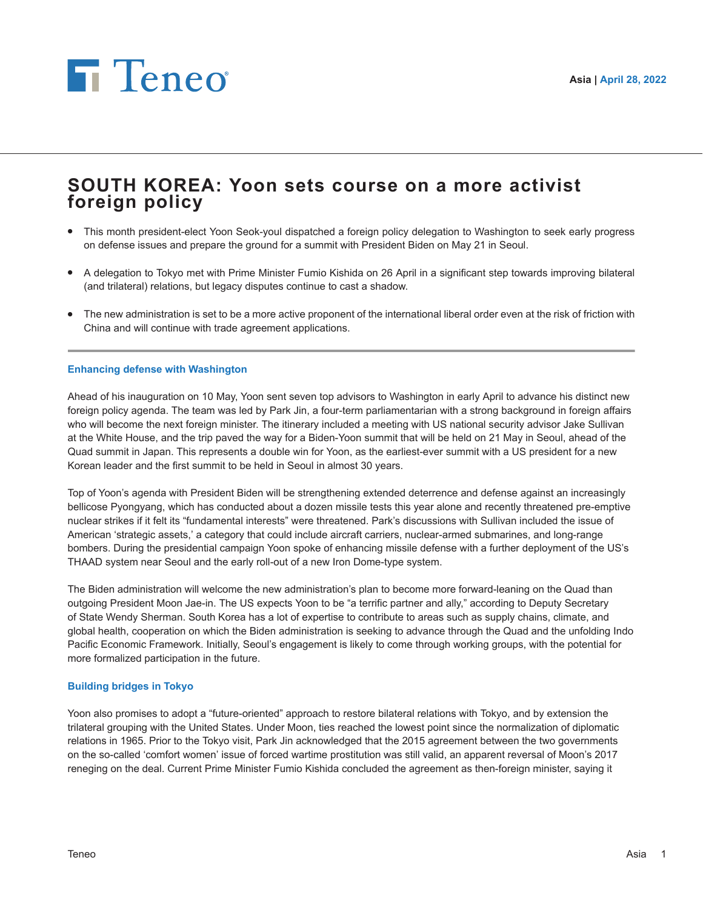

# **SOUTH KOREA: Yoon sets course on a more activist foreign policy**

- This month president-elect Yoon Seok-youl dispatched a foreign policy delegation to Washington to seek early progress on defense issues and prepare the ground for a summit with President Biden on May 21 in Seoul.
- A delegation to Tokyo met with Prime Minister Fumio Kishida on 26 April in a significant step towards improving bilateral (and trilateral) relations, but legacy disputes continue to cast a shadow.
- The new administration is set to be a more active proponent of the international liberal order even at the risk of friction with China and will continue with trade agreement applications.

### **Enhancing defense with Washington**

Ahead of his inauguration on 10 May, Yoon sent seven top advisors to Washington in early April to advance his distinct new foreign policy agenda. The team was led by Park Jin, a four-term parliamentarian with a strong background in foreign affairs who will become the next foreign minister. The itinerary included a meeting with US national security advisor Jake Sullivan at the White House, and the trip paved the way for a Biden-Yoon summit that will be held on 21 May in Seoul, ahead of the Quad summit in Japan. This represents a double win for Yoon, as the earliest-ever summit with a US president for a new Korean leader and the first summit to be held in Seoul in almost 30 years.

Top of Yoon's agenda with President Biden will be strengthening extended deterrence and defense against an increasingly bellicose Pyongyang, which has conducted about a dozen missile tests this year alone and recently threatened pre-emptive nuclear strikes if it felt its "fundamental interests" were threatened. Park's discussions with Sullivan included the issue of American 'strategic assets,' a category that could include aircraft carriers, nuclear-armed submarines, and long-range bombers. During the presidential campaign Yoon spoke of enhancing missile defense with a further deployment of the US's THAAD system near Seoul and the early roll-out of a new Iron Dome-type system.

The Biden administration will welcome the new administration's plan to become more forward-leaning on the Quad than outgoing President Moon Jae-in. The US expects Yoon to be "a terrific partner and ally," according to Deputy Secretary of State Wendy Sherman. South Korea has a lot of expertise to contribute to areas such as supply chains, climate, and global health, cooperation on which the Biden administration is seeking to advance through the Quad and the unfolding Indo Pacific Economic Framework. Initially, Seoul's engagement is likely to come through working groups, with the potential for more formalized participation in the future.

#### **Building bridges in Tokyo**

Yoon also promises to adopt a "future-oriented" approach to restore bilateral relations with Tokyo, and by extension the trilateral grouping with the United States. Under Moon, ties reached the lowest point since the normalization of diplomatic relations in 1965. Prior to the Tokyo visit, Park Jin acknowledged that the 2015 agreement between the two governments on the so-called 'comfort women' issue of forced wartime prostitution was still valid, an apparent reversal of Moon's 2017 reneging on the deal. Current Prime Minister Fumio Kishida concluded the agreement as then-foreign minister, saying it